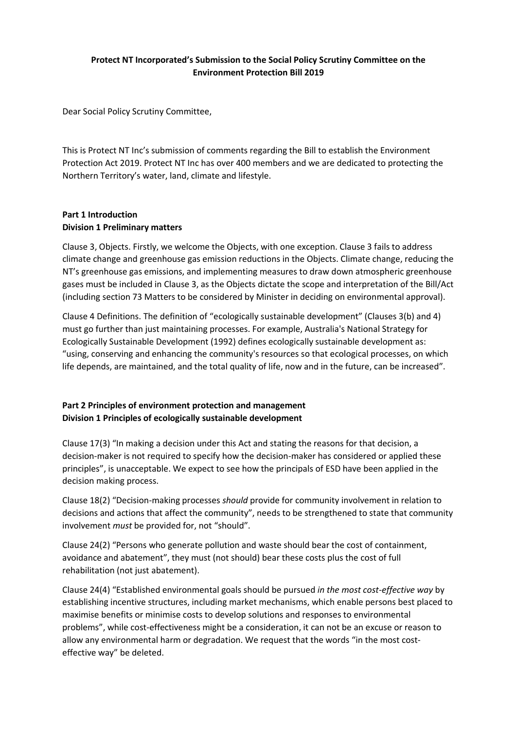# **Protect NT Incorporated's Submission to the Social Policy Scrutiny Committee on the Environment Protection Bill 2019**

Dear Social Policy Scrutiny Committee,

This is Protect NT Inc's submission of comments regarding the Bill to establish the Environment Protection Act 2019. Protect NT Inc has over 400 members and we are dedicated to protecting the Northern Territory's water, land, climate and lifestyle.

### **Part 1 Introduction Division 1 Preliminary matters**

Clause 3, Objects. Firstly, we welcome the Objects, with one exception. Clause 3 fails to address climate change and greenhouse gas emission reductions in the Objects. Climate change, reducing the NT's greenhouse gas emissions, and implementing measures to draw down atmospheric greenhouse gases must be included in Clause 3, as the Objects dictate the scope and interpretation of the Bill/Act (including section 73 Matters to be considered by Minister in deciding on environmental approval).

Clause 4 Definitions. The definition of "ecologically sustainable development" (Clauses 3(b) and 4) must go further than just maintaining processes. For example, Australia's National Strategy for Ecologically Sustainable Development (1992) defines ecologically sustainable development as: "using, conserving and enhancing the community's resources so that ecological processes, on which life depends, are maintained, and the total quality of life, now and in the future, can be increased".

# **Part 2 Principles of environment protection and management Division 1 Principles of ecologically sustainable development**

Clause 17(3) "In making a decision under this Act and stating the reasons for that decision, a decision-maker is not required to specify how the decision-maker has considered or applied these principles", is unacceptable. We expect to see how the principals of ESD have been applied in the decision making process.

Clause 18(2) "Decision-making processes *should* provide for community involvement in relation to decisions and actions that affect the community", needs to be strengthened to state that community involvement *must* be provided for, not "should".

Clause 24(2) "Persons who generate pollution and waste should bear the cost of containment, avoidance and abatement", they must (not should) bear these costs plus the cost of full rehabilitation (not just abatement).

Clause 24(4) "Established environmental goals should be pursued *in the most cost-effective way* by establishing incentive structures, including market mechanisms, which enable persons best placed to maximise benefits or minimise costs to develop solutions and responses to environmental problems", while cost-effectiveness might be a consideration, it can not be an excuse or reason to allow any environmental harm or degradation. We request that the words "in the most costeffective way" be deleted.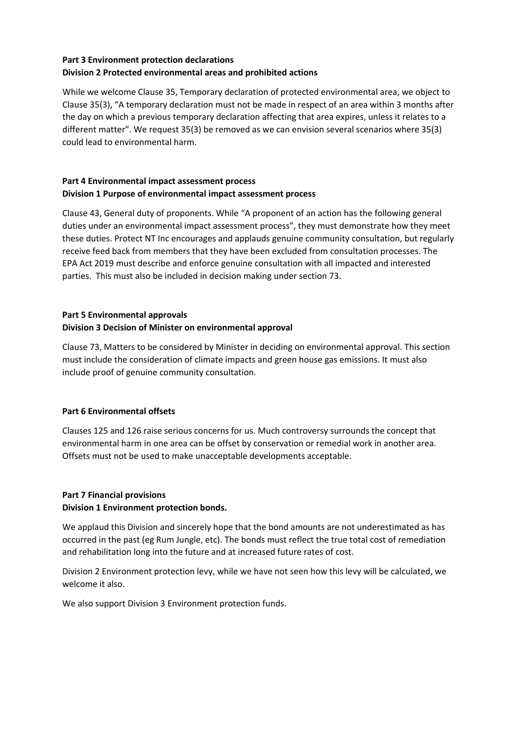## **Part 3 Environment protection declarations Division 2 Protected environmental areas and prohibited actions**

While we welcome Clause 35, Temporary declaration of protected environmental area, we object to Clause 35(3), "A temporary declaration must not be made in respect of an area within 3 months after the day on which a previous temporary declaration affecting that area expires, unless it relates to a different matter". We request 35(3) be removed as we can envision several scenarios where 35(3) could lead to environmental harm.

## **Part 4 Environmental impact assessment process Division 1 Purpose of environmental impact assessment process**

Clause 43, General duty of proponents. While "A proponent of an action has the following general duties under an environmental impact assessment process", they must demonstrate how they meet these duties. Protect NT Inc encourages and applauds genuine community consultation, but regularly receive feed back from members that they have been excluded from consultation processes. The EPA Act 2019 must describe and enforce genuine consultation with all impacted and interested parties. This must also be included in decision making under section 73.

# **Part 5 Environmental approvals**

# **Division 3 Decision of Minister on environmental approval**

Clause 73, Matters to be considered by Minister in deciding on environmental approval. This section must include the consideration of climate impacts and green house gas emissions. It must also include proof of genuine community consultation.

# **Part 6 Environmental offsets**

Clauses 125 and 126 raise serious concerns for us. Much controversy surrounds the concept that environmental harm in one area can be offset by conservation or remedial work in another area. Offsets must not be used to make unacceptable developments acceptable.

# **Part 7 Financial provisions**

## **Division 1 Environment protection bonds.**

We applaud this Division and sincerely hope that the bond amounts are not underestimated as has occurred in the past (eg Rum Jungle, etc). The bonds must reflect the true total cost of remediation and rehabilitation long into the future and at increased future rates of cost.

Division 2 Environment protection levy, while we have not seen how this levy will be calculated, we welcome it also.

We also support Division 3 Environment protection funds.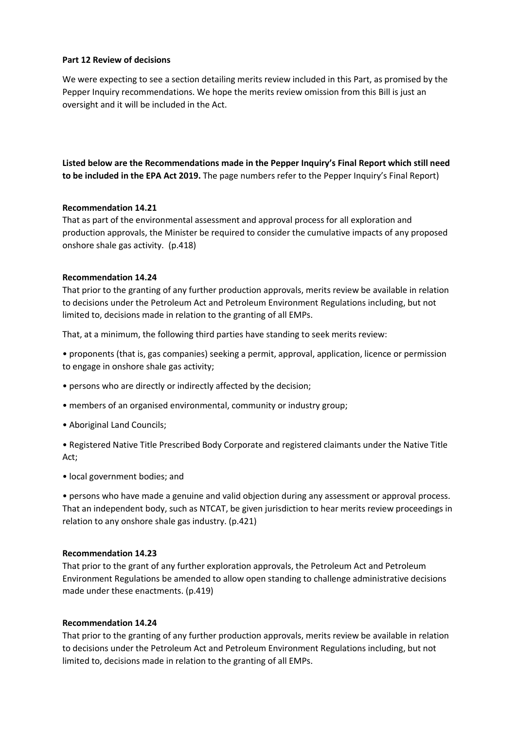### **Part 12 Review of decisions**

We were expecting to see a section detailing merits review included in this Part, as promised by the Pepper Inquiry recommendations. We hope the merits review omission from this Bill is just an oversight and it will be included in the Act.

**Listed below are the Recommendations made in the Pepper Inquiry's Final Report which still need to be included in the EPA Act 2019.** The page numbers refer to the Pepper Inquiry's Final Report)

#### **Recommendation 14.21**

That as part of the environmental assessment and approval process for all exploration and production approvals, the Minister be required to consider the cumulative impacts of any proposed onshore shale gas activity. (p.418)

#### **Recommendation 14.24**

That prior to the granting of any further production approvals, merits review be available in relation to decisions under the Petroleum Act and Petroleum Environment Regulations including, but not limited to, decisions made in relation to the granting of all EMPs.

That, at a minimum, the following third parties have standing to seek merits review:

• proponents (that is, gas companies) seeking a permit, approval, application, licence or permission to engage in onshore shale gas activity;

- persons who are directly or indirectly affected by the decision;
- members of an organised environmental, community or industry group;
- Aboriginal Land Councils;

• Registered Native Title Prescribed Body Corporate and registered claimants under the Native Title Act;

• local government bodies; and

• persons who have made a genuine and valid objection during any assessment or approval process. That an independent body, such as NTCAT, be given jurisdiction to hear merits review proceedings in relation to any onshore shale gas industry. (p.421)

#### **Recommendation 14.23**

That prior to the grant of any further exploration approvals, the Petroleum Act and Petroleum Environment Regulations be amended to allow open standing to challenge administrative decisions made under these enactments. (p.419)

### **Recommendation 14.24**

That prior to the granting of any further production approvals, merits review be available in relation to decisions under the Petroleum Act and Petroleum Environment Regulations including, but not limited to, decisions made in relation to the granting of all EMPs.